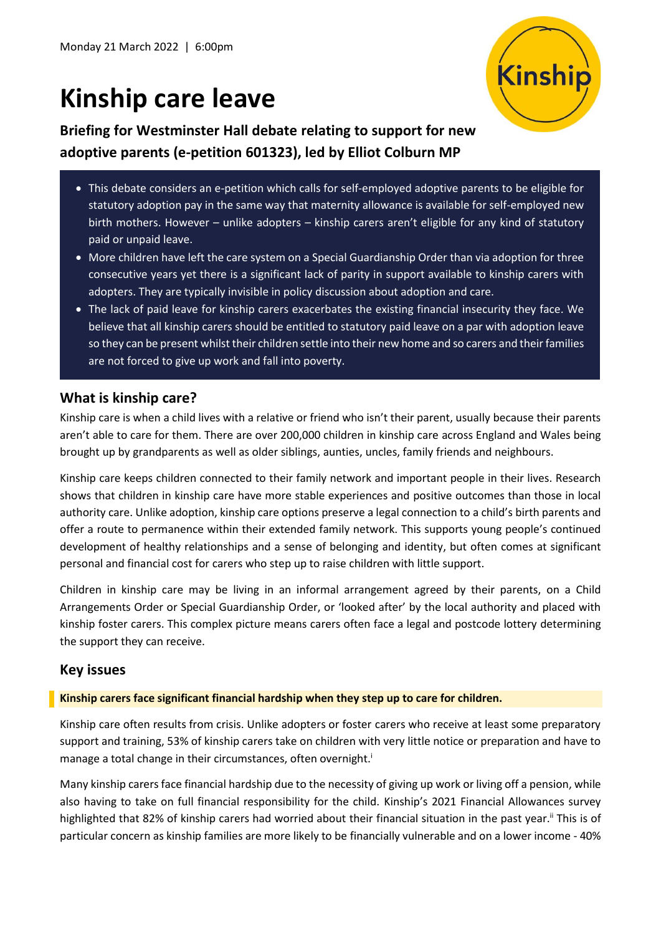# **Kinship care leave**

Kinship

**Briefing for Westminster Hall debate relating to support for new adoptive parents (e-petition 601323), led by Elliot Colburn MP**

- This debate considers an e-petition which calls for self-employed adoptive parents to be eligible for statutory adoption pay in the same way that maternity allowance is available for self-employed new birth mothers. However – unlike adopters – kinship carers aren't eligible for any kind of statutory paid or unpaid leave.
- More children have left the care system on a Special Guardianship Order than via adoption for three consecutive years yet there is a significant lack of parity in support available to kinship carers with adopters. They are typically invisible in policy discussion about adoption and care.
- The lack of paid leave for kinship carers exacerbates the existing financial insecurity they face. We believe that all kinship carers should be entitled to statutory paid leave on a par with adoption leave so they can be present whilst their children settle into their new home and so carers and their families are not forced to give up work and fall into poverty.

## **What is kinship care?**

Kinship care is when a child lives with a relative or friend who isn't their parent, usually because their parents aren't able to care for them. There are over 200,000 children in kinship care across England and Wales being brought up by grandparents as well as older siblings, aunties, uncles, family friends and neighbours.

Kinship care keeps children connected to their family network and important people in their lives. Research shows that children in kinship care have more stable experiences and positive outcomes than those in local authority care. Unlike adoption, kinship care options preserve a legal connection to a child's birth parents and offer a route to permanence within their extended family network. This supports young people's continued development of healthy relationships and a sense of belonging and identity, but often comes at significant personal and financial cost for carers who step up to raise children with little support.

Children in kinship care may be living in an informal arrangement agreed by their parents, on a Child Arrangements Order or Special Guardianship Order, or 'looked after' by the local authority and placed with kinship foster carers. This complex picture means carers often face a legal and postcode lottery determining the support they can receive.

## **Key issues**

#### **Kinship carers face significant financial hardship when they step up to care for children.**

Kinship care often results from crisis. Unlike adopters or foster carers who receive at least some preparatory support and training, 53% of kinship carers take on children with very little notice or preparation and have to manage a total change in their circumstances, often overnight.<sup>i</sup>

Many kinship carers face financial hardship due to the necessity of giving up work or living off a pension, while also having to take on full financial responsibility for the child. Kinship's 2021 Financial Allowances survey highlighted that 82% of kinship carers had worried about their financial situation in the past year.<sup>ii</sup> This is of particular concern as kinship families are more likely to be financially vulnerable and on a lower income - 40%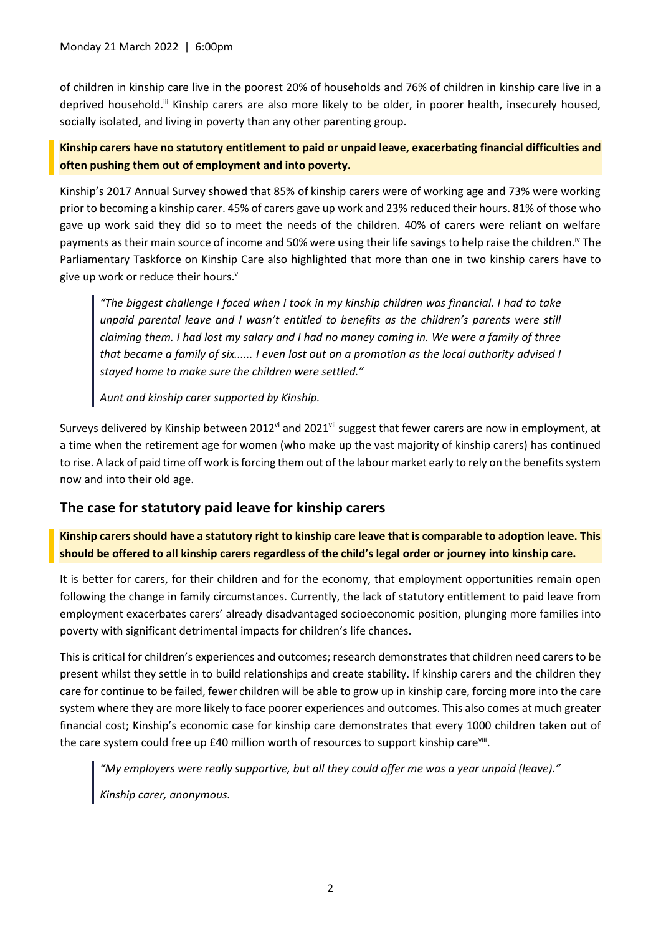of children in kinship care live in the poorest 20% of households and 76% of children in kinship care live in a deprived household.<sup>iii</sup> Kinship carers are also more likely to be older, in poorer health, insecurely housed, socially isolated, and living in poverty than any other parenting group.

#### **Kinship carers have no statutory entitlement to paid or unpaid leave, exacerbating financial difficulties and often pushing them out of employment and into poverty.**

Kinship's 2017 Annual Survey showed that 85% of kinship carers were of working age and 73% were working prior to becoming a kinship carer. 45% of carers gave up work and 23% reduced their hours. 81% of those who gave up work said they did so to meet the needs of the children. 40% of carers were reliant on welfare payments as their main source of income and 50% were using their life savings to help raise the children.<sup>iv</sup> The Parliamentary Taskforce on Kinship Care also highlighted that more than one in two kinship carers have to give up work or reduce their hours.<sup>v</sup>

*"The biggest challenge I faced when I took in my kinship children was financial. I had to take unpaid parental leave and I wasn't entitled to benefits as the children's parents were still claiming them. I had lost my salary and I had no money coming in. We were a family of three that became a family of six...... I even lost out on a promotion as the local authority advised I stayed home to make sure the children were settled."*

*Aunt and kinship carer supported by Kinship.*

Surveys delivered by Kinship between 2012<sup>vi</sup> and 2021<sup>vii</sup> suggest that fewer carers are now in employment, at a time when the retirement age for women (who make up the vast majority of kinship carers) has continued to rise. A lack of paid time off work is forcing them out of the labour market early to rely on the benefits system now and into their old age.

## **The case for statutory paid leave for kinship carers**

**Kinship carers should have a statutory right to kinship care leave that is comparable to adoption leave. This should be offered to all kinship carers regardless of the child's legal order or journey into kinship care.** 

It is better for carers, for their children and for the economy, that employment opportunities remain open following the change in family circumstances. Currently, the lack of statutory entitlement to paid leave from employment exacerbates carers' already disadvantaged socioeconomic position, plunging more families into poverty with significant detrimental impacts for children's life chances.

This is critical for children's experiences and outcomes; research demonstrates that children need carers to be present whilst they settle in to build relationships and create stability. If kinship carers and the children they care for continue to be failed, fewer children will be able to grow up in kinship care, forcing more into the care system where they are more likely to face poorer experiences and outcomes. This also comes at much greater financial cost; Kinship's economic case for kinship care demonstrates that every 1000 children taken out of the care system could free up £40 million worth of resources to support kinship care<sup>viii</sup>.

*"My employers were really supportive, but all they could offer me was a year unpaid (leave)." Kinship carer, anonymous.*